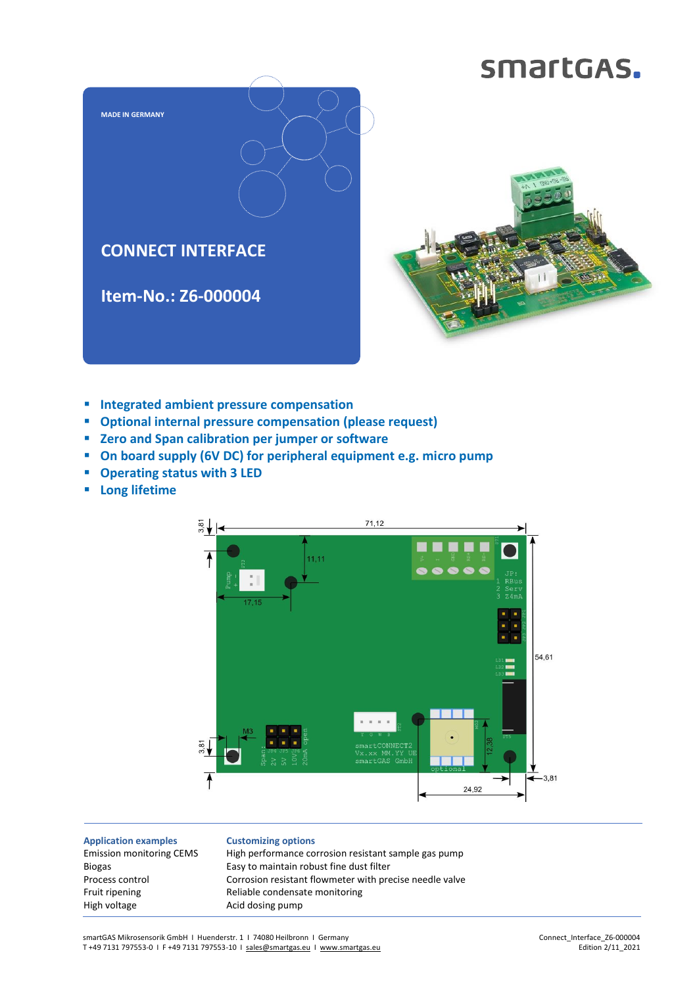## smartGAS.



- **Integrated ambient pressure compensation**
- **Optional internal pressure compensation (please request)**
- **Zero and Span calibration per jumper or software**
- **On board supply (6V DC) for peripheral equipment e.g. micro pump**
- **Operating status with 3 LED**
- **Long lifetime**



**Application examples** Emission monitoring CEMS Biogas Process control Fruit ripening High voltage

**Customizing options** High performance corrosion resistant sample gas pump Easy to maintain robust fine dust filter Corrosion resistant flowmeter with precise needle valve Reliable condensate monitoring Acid dosing pump